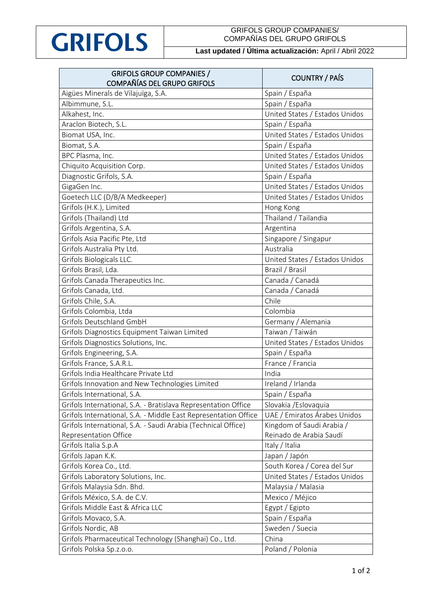

## GRIFOLS GROUP COMPANIES/ COMPAÑÍAS DEL GRUPO GRIFOLS

## **Last updated / Última actualización:** April / Abril 2022

| <b>GRIFOLS GROUP COMPANIES /</b>                                | <b>COUNTRY / PAÍS</b>          |
|-----------------------------------------------------------------|--------------------------------|
| COMPAÑÍAS DEL GRUPO GRIFOLS                                     |                                |
| Aigües Minerals de Vilajuïga, S.A.                              | Spain / España                 |
| Albimmune, S.L.                                                 | Spain / España                 |
| Alkahest, Inc.                                                  | United States / Estados Unidos |
| Araclon Biotech, S.L.                                           | Spain / España                 |
| Biomat USA, Inc.                                                | United States / Estados Unidos |
| Biomat, S.A.                                                    | Spain / España                 |
| BPC Plasma, Inc.                                                | United States / Estados Unidos |
| Chiquito Acquisition Corp.                                      | United States / Estados Unidos |
| Diagnostic Grifols, S.A.                                        | Spain / España                 |
| GigaGen Inc.                                                    | United States / Estados Unidos |
| Goetech LLC (D/B/A Medkeeper)                                   | United States / Estados Unidos |
| Grifols (H.K.), Limited                                         | Hong Kong                      |
| Grifols (Thailand) Ltd                                          | Thailand / Tailandia           |
| Grifols Argentina, S.A.                                         | Argentina                      |
| Grifols Asia Pacific Pte, Ltd                                   | Singapore / Singapur           |
| Grifols Australia Pty Ltd.                                      | Australia                      |
| Grifols Biologicals LLC.                                        | United States / Estados Unidos |
| Grifols Brasil, Lda.                                            | Brazil / Brasil                |
| Grifols Canada Therapeutics Inc.                                | Canada / Canadá                |
| Grifols Canada, Ltd.                                            | Canada / Canadá                |
| Grifols Chile, S.A.                                             | Chile                          |
| Grifols Colombia, Ltda                                          | Colombia                       |
| Grifols Deutschland GmbH                                        | Germany / Alemania             |
| Grifols Diagnostics Equipment Taiwan Limited                    | Taiwan / Taiwán                |
| Grifols Diagnostics Solutions, Inc.                             | United States / Estados Unidos |
| Grifols Engineering, S.A.                                       | Spain / España                 |
| Grifols France, S.A.R.L.                                        | France / Francia               |
| Grifols India Healthcare Private Ltd                            | India                          |
| Grifols Innovation and New Technologies Limited                 | Ireland / Irlanda              |
| Grifols International, S.A.                                     | Spain / España                 |
| Grifols International, S.A. - Bratislava Representation Office  | Slovakia / Eslovaquia          |
| Grifols International, S.A. - Middle East Representation Office | UAE / Emiratos Árabes Unidos   |
| Grifols International, S.A. - Saudi Arabia (Technical Office)   | Kingdom of Saudi Arabia /      |
| Representation Office                                           | Reinado de Arabia Saudí        |
| Grifols Italia S.p.A                                            | Italy / Italia                 |
| Grifols Japan K.K.                                              | Japan / Japón                  |
| Grifols Korea Co., Ltd.                                         | South Korea / Corea del Sur    |
| Grifols Laboratory Solutions, Inc.                              | United States / Estados Unidos |
| Grifols Malaysia Sdn. Bhd.                                      | Malaysia / Malasia             |
| Grifols México, S.A. de C.V.                                    | Mexico / Méjico                |
| Grifols Middle East & Africa LLC                                | Egypt / Egipto                 |
| Grifols Movaco, S.A.                                            | Spain / España                 |
| Grifols Nordic, AB                                              | Sweden / Suecia                |
| Grifols Pharmaceutical Technology (Shanghai) Co., Ltd.          | China                          |
| Grifols Polska Sp.z.o.o.                                        | Poland / Polonia               |